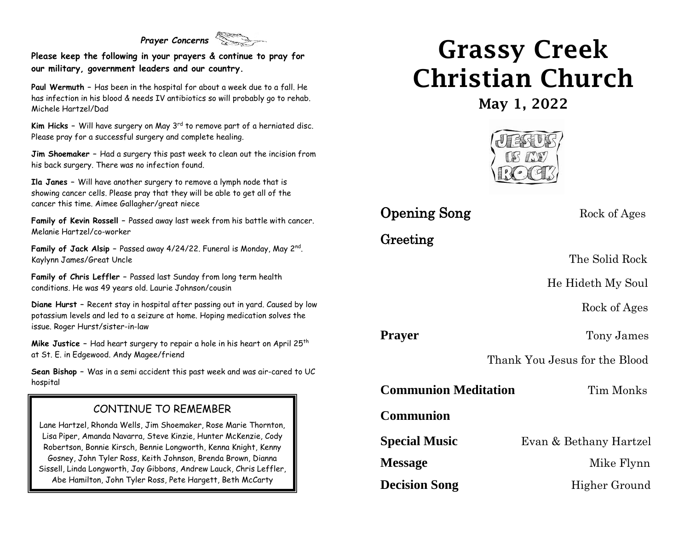### *Prayer Concerns*

**Please keep the following in your prayers & continue to pray for our military, government leaders and our country.**

**Paul Wermuth –** Has been in the hospital for about a week due to a fall. He has infection in his blood & needs IV antibiotics so will probably go to rehab. Michele Hartzel/Dad

**Kim Hicks -** Will have surgery on May 3<sup>rd</sup> to remove part of a herniated disc. Please pray for a successful surgery and complete healing.

**Jim Shoemaker –** Had a surgery this past week to clean out the incision from his back surgery. There was no infection found.

**Ila Janes –** Will have another surgery to remove a lymph node that is showing cancer cells. Please pray that they will be able to get all of the cancer this time. Aimee Gallagher/great niece

**Family of Kevin Rossell –** Passed away last week from his battle with cancer. Melanie Hartzel/co-worker

**Family of Jack Alsip –** Passed away 4/24/22. Funeral is Monday, May 2nd . Kaylynn James/Great Uncle

**Family of Chris Leffler –** Passed last Sunday from long term health conditions. He was 49 years old. Laurie Johnson/cousin

**Diane Hurst –** Recent stay in hospital after passing out in yard. Caused by low potassium levels and led to a seizure at home. Hoping medication solves the issue. Roger Hurst/sister-in-law

**Mike Justice -** Had heart surgery to repair a hole in his heart on April 25<sup>th</sup> at St. E. in Edgewood. Andy Magee/friend

**Sean Bishop –** Was in a semi accident this past week and was air-cared to UC hospital

#### CONTINUE TO REMEMBER

Lane Hartzel, Rhonda Wells, Jim Shoemaker, Rose Marie Thornton, Lisa Piper, Amanda Navarra, Steve Kinzie, Hunter McKenzie, Cody Robertson, Bonnie Kirsch, Bennie Longworth, Kenna Knight, Kenny Gosney, John Tyler Ross, Keith Johnson, Brenda Brown, Dianna Sissell, Linda Longworth, Jay Gibbons, Andrew Lauck, Chris Leffler, Abe Hamilton, John Tyler Ross, Pete Hargett, Beth McCarty

# Grassy Creek Christian Church

May 1, 2022



## **Opening Song** Rock of Ages

## Greeting

The Solid Rock

He Hideth My Soul

Rock of Ages

**Prayer** Tony James

Thank You Jesus for the Blood

**Communion Meditation** Tim Monks

**Communion**

**Special Music** Evan & Bethany Hartzel

**Message** Mike Flynn

**Decision Song** Higher Ground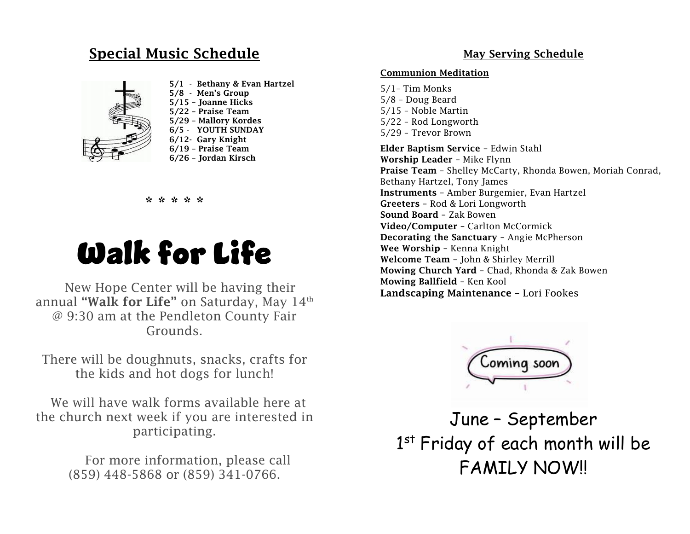## Special Music Schedule



 5/1 - Bethany & Evan Hartzel 5/8 - Men's Group 5/15 – Joanne Hicks 5/22 – Praise Team 5/29 – Mallory Kordes 6/5 - YOUTH SUNDAY 6/12- Gary Knight 6/19 – Praise Team 6/26 – Jordan Kirsch

#### \* \* \* \* \*

# Walk for Life

New Hope Center will be having their annual "Walk for Life" on Saturday, May  $14<sup>th</sup>$ @ 9:30 am at the Pendleton County Fair Grounds.

There will be doughnuts, snacks, crafts for the kids and hot dogs for lunch!

We will have walk forms available here at the church next week if you are interested in participating.

> For more information, please call (859) 448-5868 or (859) 341-0766.

#### May Serving Schedule

#### Communion Meditation

5/1– Tim Monks 5/8 – Doug Beard 5/15 – Noble Martin 5/22 – Rod Longworth 5/29 – Trevor Brown

Elder Baptism Service – Edwin Stahl Worship Leader – Mike Flynn Praise Team – Shelley McCarty, Rhonda Bowen, Moriah Conrad, Bethany Hartzel, Tony James Instruments – Amber Burgemier, Evan Hartzel Greeters – Rod & Lori Longworth Sound Board – Zak Bowen Video/Computer – Carlton McCormick Decorating the Sanctuary – Angie McPherson Wee Worship – Kenna Knight Welcome Team – John & Shirley Merrill Mowing Church Yard – Chad, Rhonda & Zak Bowen Mowing Ballfield – Ken Kool Landscaping Maintenance – Lori Fookes



June – September 1<sup>st</sup> Friday of each month will be FAMILY NOW!!